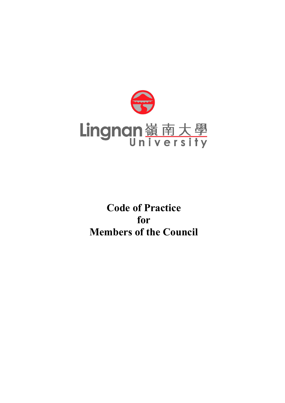

**Code of Practice for Members of the Council**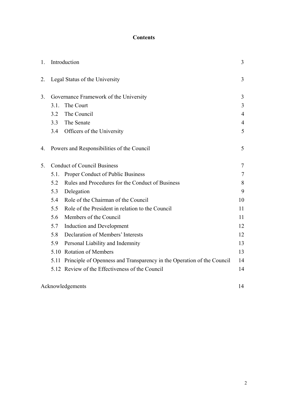# **Contents**

| 1. | Introduction                           |                                                                             | 3              |
|----|----------------------------------------|-----------------------------------------------------------------------------|----------------|
| 2. | Legal Status of the University         |                                                                             | 3              |
| 3. | Governance Framework of the University |                                                                             | 3              |
|    | 3.1.<br>The Court                      |                                                                             | $\overline{3}$ |
|    | 3.2                                    | The Council                                                                 | $\overline{4}$ |
|    | 3.3                                    | The Senate                                                                  | $\overline{4}$ |
|    | 3.4                                    | Officers of the University                                                  | 5              |
| 4. |                                        | Powers and Responsibilities of the Council                                  | 5              |
| 5. | <b>Conduct of Council Business</b>     |                                                                             | $\tau$         |
|    | 5.1.                                   | Proper Conduct of Public Business                                           | 7              |
|    | 5.2                                    | Rules and Procedures for the Conduct of Business                            | 8              |
|    | 5.3                                    | Delegation                                                                  | 9              |
|    | 5.4                                    | Role of the Chairman of the Council                                         | 10             |
|    | 5.5                                    | Role of the President in relation to the Council                            | 11             |
|    | 5.6                                    | Members of the Council                                                      | 11             |
|    | 5.7                                    | <b>Induction and Development</b>                                            | 12             |
|    | 5.8                                    | Declaration of Members' Interests                                           | 12             |
|    | 5.9                                    | Personal Liability and Indemnity                                            | 13             |
|    |                                        | 5.10 Rotation of Members                                                    | 13             |
|    |                                        | 5.11 Principle of Openness and Transparency in the Operation of the Council | 14             |
|    |                                        | 5.12 Review of the Effectiveness of the Council                             | 14             |
|    | Acknowledgements                       |                                                                             |                |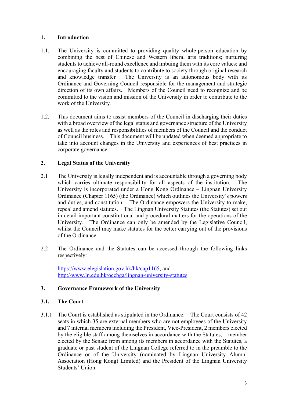#### **1. Introduction**

- 1.1. The University is committed to providing quality whole-person education by combining the best of Chinese and Western liberal arts traditions; nurturing students to achieve all-round excellence and imbuing them with its core values; and encouraging faculty and students to contribute to society through original research and knowledge transfer. The University is an autonomous body with its Ordinance and Governing Council responsible for the management and strategic direction of its own affairs. Members of the Council need to recognize and be committed to the vision and mission of the University in order to contribute to the work of the University.
- 1.2. This document aims to assist members of the Council in discharging their duties with a broad overview of the legal status and governance structure of the University as well as the roles and responsibilities of members of the Council and the conduct of Council business. This document will be updated when deemed appropriate to take into account changes in the University and experiences of best practices in corporate governance.

## **2. Legal Status of the University**

- 2.1 The University is legally independent and is accountable through a governing body which carries ultimate responsibility for all aspects of the institution. The University is incorporated under a Hong Kong Ordinance – Lingnan University Ordinance (Chapter 1165) (the Ordinance) which outlines the University's powers and duties, and constitution. The Ordinance empowers the University to make, repeal and amend statutes. The Lingnan University Statutes (the Statutes) set out in detail important constitutional and procedural matters for the operations of the University. The Ordinance can only be amended by the Legislative Council, whilst the Council may make statutes for the better carrying out of the provisions of the Ordinance.
- 2.2 The Ordinance and the Statutes can be accessed through the following links respectively:

https://www.elegislation.gov.hk/hk/cap1165, and http://www.ln.edu.hk/occbga/lingnan-university-statutes.

## **3. Governance Framework of the University**

## **3.1. The Court**

3.1.1 The Court is established as stipulated in the Ordinance. The Court consists of 42 seats in which 35 are external members who are not employees of the University and 7 internal members including the President, Vice-President, 2 members elected by the eligible staff among themselves in accordance with the Statutes, 1 member elected by the Senate from among its members in accordance with the Statutes, a graduate or past student of the Lingnan College referred to in the preamble to the Ordinance or of the University (nominated by Lingnan University Alumni Association (Hong Kong) Limited) and the President of the Lingnan University Students' Union.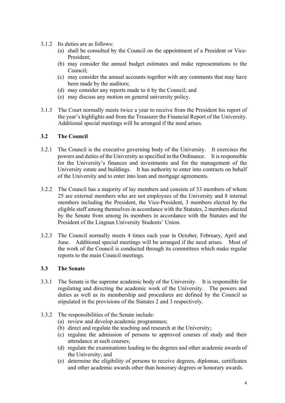- 3.1.2 Its duties are as follows:
	- (a) shall be consulted by the Council on the appointment of a President or Vice-President;
	- (b) may consider the annual budget estimates and make representations to the Council;
	- (c) may consider the annual accounts together with any comments that may have been made by the auditors;
	- (d) may consider any reports made to it by the Council; and
	- (e) may discuss any motion on general university policy.
- 3.1.3 The Court normally meets twice a year to receive from the President his report of the year's highlights and from the Treasurer the Financial Report of the University. Additional special meetings will be arranged if the need arises.

#### **3.2 The Council**

- 3.2.1 The Council is the executive governing body of the University. It exercises the powers and duties of the University as specified in the Ordinance. It is responsible for the University's finances and investments and for the management of the University estate and buildings. It has authority to enter into contracts on behalf of the University and to enter into loan and mortgage agreements.
- 3.2.2 The Council has a majority of lay members and consists of 33 members of whom 25 are external members who are not employees of the University and 8 internal members including the President, the Vice-President, 3 members elected by the eligible staff among themselves in accordance with the Statutes, 2 members elected by the Senate from among its members in accordance with the Statutes and the President of the Lingnan University Students' Union.
- 3.2.3 The Council normally meets 4 times each year in October, February, April and June. Additional special meetings will be arranged if the need arises. Most of the work of the Council is conducted through its committees which make regular reports to the main Council meetings.

## **3.3 The Senate**

- 3.3.1 The Senate is the supreme academic body of the University. It is responsible for regulating and directing the academic work of the University. The powers and duties as well as its membership and procedures are defined by the Council as stipulated in the provisions of the Statutes 2 and 3 respectively.
- 3.3.2 The responsibilities of the Senate include:
	- (a) review and develop academic programmes;
	- (b) direct and regulate the teaching and research at the University;
	- (c) regulate the admission of persons to approved courses of study and their attendance at such courses;
	- (d) regulate the examinations leading to the degrees and other academic awards of the University; and
	- (e) determine the eligibility of persons to receive degrees, diplomas, certificates and other academic awards other than honorary degrees or honorary awards.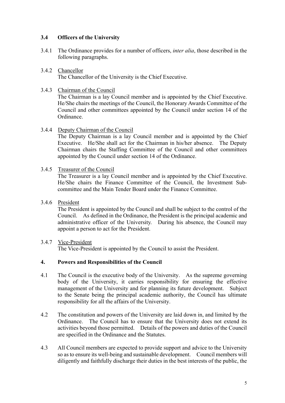## **3.4 Officers of the University**

- 3.4.1 The Ordinance provides for a number of officers, *inter alia*, those described in the following paragraphs.
- 3.4.2 Chancellor The Chancellor of the University is the Chief Executive.
- 3.4.3 Chairman of the Council

The Chairman is a lay Council member and is appointed by the Chief Executive. He/She chairs the meetings of the Council, the Honorary Awards Committee of the Council and other committees appointed by the Council under section 14 of the Ordinance.

3.4.4 Deputy Chairman of the Council

The Deputy Chairman is a lay Council member and is appointed by the Chief Executive. He/She shall act for the Chairman in his/her absence. The Deputy Chairman chairs the Staffing Committee of the Council and other committees appointed by the Council under section 14 of the Ordinance.

3.4.5 Treasurer of the Council

The Treasurer is a lay Council member and is appointed by the Chief Executive. He/She chairs the Finance Committee of the Council, the Investment Subcommittee and the Main Tender Board under the Finance Committee.

3.4.6 President

The President is appointed by the Council and shall be subject to the control of the Council. As defined in the Ordinance, the President is the principal academic and administrative officer of the University. During his absence, the Council may appoint a person to act for the President.

3.4.7 Vice-President The Vice-President is appointed by the Council to assist the President.

## **4. Powers and Responsibilities of the Council**

- 4.1 The Council is the executive body of the University. As the supreme governing body of the University, it carries responsibility for ensuring the effective management of the University and for planning its future development. Subject to the Senate being the principal academic authority, the Council has ultimate responsibility for all the affairs of the University.
- 4.2 The constitution and powers of the University are laid down in, and limited by the Ordinance. The Council has to ensure that the University does not extend its activities beyond those permitted. Details of the powers and duties of the Council are specified in the Ordinance and the Statutes.
- 4.3 All Council members are expected to provide support and advice to the University so as to ensure its well-being and sustainable development. Council members will diligently and faithfully discharge their duties in the best interests of the public, the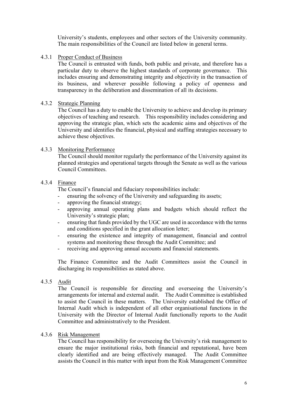University's students, employees and other sectors of the University community. The main responsibilities of the Council are listed below in general terms.

4.3.1 Proper Conduct of Business

The Council is entrusted with funds, both public and private, and therefore has a particular duty to observe the highest standards of corporate governance. This includes ensuring and demonstrating integrity and objectivity in the transaction of its business, and wherever possible following a policy of openness and transparency in the deliberation and dissemination of all its decisions.

## 4.3.2 Strategic Planning

The Council has a duty to enable the University to achieve and develop its primary objectives of teaching and research. This responsibility includes considering and approving the strategic plan, which sets the academic aims and objectives of the University and identifies the financial, physical and staffing strategies necessary to achieve these objectives.

## 4.3.3 Monitoring Performance

The Council should monitor regularly the performance of the University against its planned strategies and operational targets through the Senate as well as the various Council Committees.

#### 4.3.4 Finance

The Council's financial and fiduciary responsibilities include:

- ensuring the solvency of the University and safeguarding its assets;
- approving the financial strategy;
- approving annual operating plans and budgets which should reflect the University's strategic plan;
- ensuring that funds provided by the UGC are used in accordance with the terms and conditions specified in the grant allocation letter;
- ensuring the existence and integrity of management, financial and control systems and monitoring these through the Audit Committee; and
- receiving and approving annual accounts and financial statements.

The Finance Committee and the Audit Committees assist the Council in discharging its responsibilities as stated above.

4.3.5 Audit

The Council is responsible for directing and overseeing the University's arrangements for internal and external audit. The Audit Committee is established to assist the Council in these matters. The University established the Office of Internal Audit which is independent of all other organisational functions in the University with the Director of Internal Audit functionally reports to the Audit Committee and administratively to the President.

#### 4.3.6 Risk Management

The Council has responsibility for overseeing the University's risk management to ensure the major institutional risks, both financial and reputational, have been clearly identified and are being effectively managed. The Audit Committee assists the Council in this matter with input from the Risk Management Committee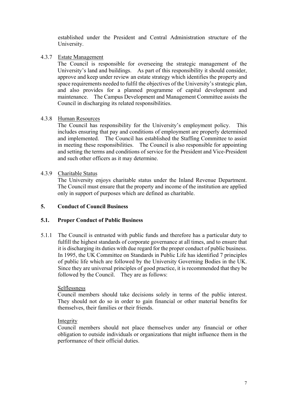established under the President and Central Administration structure of the University.

## 4.3.7 Estate Management

The Council is responsible for overseeing the strategic management of the University's land and buildings. As part of this responsibility it should consider, approve and keep under review an estate strategy which identifies the property and space requirements needed to fulfil the objectives of the University's strategic plan, and also provides for a planned programme of capital development and maintenance. The Campus Development and Management Committee assists the Council in discharging its related responsibilities.

# 4.3.8 Human Resources

The Council has responsibility for the University's employment policy. This includes ensuring that pay and conditions of employment are properly determined and implemented. The Council has established the Staffing Committee to assist in meeting these responsibilities. The Council is also responsible for appointing and setting the terms and conditions of service for the President and Vice-President and such other officers as it may determine.

# 4.3.9 Charitable Status

The University enjoys charitable status under the Inland Revenue Department. The Council must ensure that the property and income of the institution are applied only in support of purposes which are defined as charitable.

## **5. Conduct of Council Business**

## **5.1. Proper Conduct of Public Business**

5.1.1 The Council is entrusted with public funds and therefore has a particular duty to fulfill the highest standards of corporate governance at all times, and to ensure that it is discharging its duties with due regard for the proper conduct of public business. In 1995, the UK Committee on Standards in Public Life has identified 7 principles of public life which are followed by the University Governing Bodies in the UK. Since they are universal principles of good practice, it is recommended that they be followed by the Council. They are as follows:

## Selflessness

Council members should take decisions solely in terms of the public interest. They should not do so in order to gain financial or other material benefits for themselves, their families or their friends.

## Integrity

Council members should not place themselves under any financial or other obligation to outside individuals or organizations that might influence them in the performance of their official duties.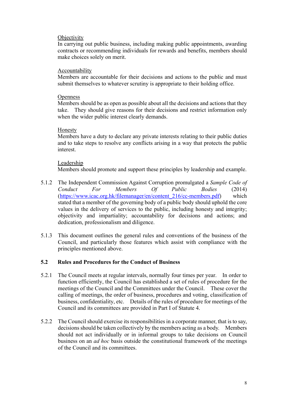#### **Objectivity**

In carrying out public business, including making public appointments, awarding contracts or recommending individuals for rewards and benefits, members should make choices solely on merit.

#### Accountability

Members are accountable for their decisions and actions to the public and must submit themselves to whatever scrutiny is appropriate to their holding office.

#### **Openness**

Members should be as open as possible about all the decisions and actions that they take. They should give reasons for their decisions and restrict information only when the wider public interest clearly demands.

#### Honesty

Members have a duty to declare any private interests relating to their public duties and to take steps to resolve any conflicts arising in a way that protects the public interest.

#### Leadership

Members should promote and support these principles by leadership and example.

- 5.1.2 The Independent Commission Against Corruption promulgated a *Sample Code of Conduct For Members Of Public Bodies* (2014) (https://www.icac.org.hk/filemanager/en/content\_216/cc-members.pdf) which stated that a member of the governing body of a public body should uphold the core values in the delivery of services to the public, including honesty and integrity; objectivity and impartiality; accountability for decisions and actions; and dedication, professionalism and diligence.
- 5.1.3 This document outlines the general rules and conventions of the business of the Council, and particularly those features which assist with compliance with the principles mentioned above.

## **5.2 Rules and Procedures for the Conduct of Business**

- 5.2.1 The Council meets at regular intervals, normally four times per year. In order to function efficiently, the Council has established a set of rules of procedure for the meetings of the Council and the Committees under the Council. These cover the calling of meetings, the order of business, procedures and voting, classification of business, confidentiality, etc. Details of the rules of procedure for meetings of the Council and its committees are provided in Part I of Statute 4.
- 5.2.2 The Council should exercise its responsibilities in a corporate manner, that is to say, decisions should be taken collectively by the members acting as a body. Members should not act individually or in informal groups to take decisions on Council business on an *ad hoc* basis outside the constitutional framework of the meetings of the Council and its committees.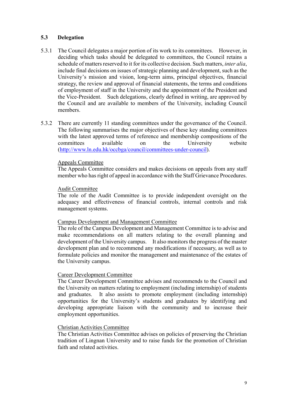#### **5.3 Delegation**

- 5.3.1 The Council delegates a major portion of its work to its committees. However, in deciding which tasks should be delegated to committees, the Council retains a schedule of matters reserved to it for its collective decision. Such matters, *inter alia*, include final decisions on issues of strategic planning and development, such as the University's mission and vision, long-term aims, principal objectives, financial strategy, the review and approval of financial statements, the terms and conditions of employment of staff in the University and the appointment of the President and the Vice-President. Such delegations, clearly defined in writing, are approved by the Council and are available to members of the University, including Council members.
- 5.3.2 There are currently 11 standing committees under the governance of the Council. The following summarises the major objectives of these key standing committees with the latest approved terms of reference and membership compositions of the committees available on the University website (http://www.ln.edu.hk/occbga/council/committees-under-council).

#### Appeals Committee

The Appeals Committee considers and makes decisions on appeals from any staff member who has right of appeal in accordance with the Staff Grievance Procedures.

#### Audit Committee

The role of the Audit Committee is to provide independent oversight on the adequacy and effectiveness of financial controls, internal controls and risk management systems.

#### Campus Development and Management Committee

The role of the Campus Development and Management Committee is to advise and make recommendations on all matters relating to the overall planning and development of the University campus. It also monitors the progress of the master development plan and to recommend any modifications if necessary, as well as to formulate policies and monitor the management and maintenance of the estates of the University campus.

#### Career Development Committee

The Career Development Committee advises and recommends to the Council and the University on matters relating to employment (including internship) of students and graduates. It also assists to promote employment (including internship) opportunities for the University's students and graduates by identifying and developing appropriate liaison with the community and to increase their employment opportunities.

#### Christian Activities Committee

The Christian Activities Committee advises on policies of preserving the Christian tradition of Lingnan University and to raise funds for the promotion of Christian faith and related activities.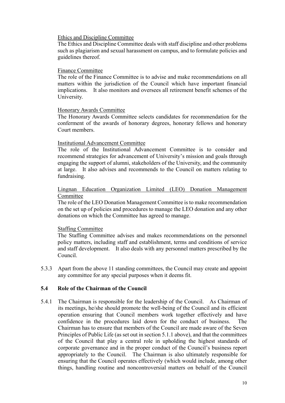#### Ethics and Discipline Committee

The Ethics and Discipline Committee deals with staff discipline and other problems such as plagiarism and sexual harassment on campus, and to formulate policies and guidelines thereof.

#### Finance Committee

The role of the Finance Committee is to advise and make recommendations on all matters within the jurisdiction of the Council which have important financial implications. It also monitors and oversees all retirement benefit schemes of the University.

#### Honorary Awards Committee

The Honorary Awards Committee selects candidates for recommendation for the conferment of the awards of honorary degrees, honorary fellows and honorary Court members.

#### Institutional Advancement Committee

The role of the Institutional Advancement Committee is to consider and recommend strategies for advancement of University's mission and goals through engaging the support of alumni, stakeholders of the University, and the community at large. It also advises and recommends to the Council on matters relating to fundraising.

#### Lingnan Education Organization Limited (LEO) Donation Management Committee

The role of the LEO Donation Management Committee is to make recommendation on the set up of policies and procedures to manage the LEO donation and any other donations on which the Committee has agreed to manage.

#### Staffing Committee

The Staffing Committee advises and makes recommendations on the personnel policy matters, including staff and establishment, terms and conditions of service and staff development. It also deals with any personnel matters prescribed by the Council.

5.3.3 Apart from the above 11 standing committees, the Council may create and appoint any committee for any special purposes when it deems fit.

#### **5.4 Role of the Chairman of the Council**

5.4.1 The Chairman is responsible for the leadership of the Council. As Chairman of its meetings, he/she should promote the well-being of the Council and its efficient operation ensuring that Council members work together effectively and have confidence in the procedures laid down for the conduct of business. The Chairman has to ensure that members of the Council are made aware of the Seven Principles of Public Life (as set out in section 5.1.1 above), and that the committees of the Council that play a central role in upholding the highest standards of corporate governance and in the proper conduct of the Council's business report appropriately to the Council. The Chairman is also ultimately responsible for ensuring that the Council operates effectively (which would include, among other things, handling routine and noncontroversial matters on behalf of the Council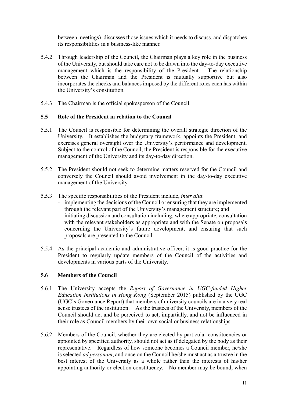between meetings), discusses those issues which it needs to discuss, and dispatches its responsibilities in a business-like manner.

- 5.4.2 Through leadership of the Council, the Chairman plays a key role in the business of the University, but should take care not to be drawn into the day-to-day executive management which is the responsibility of the President. The relationship between the Chairman and the President is mutually supportive but also incorporates the checks and balances imposed by the different roles each has within the University's constitution.
- 5.4.3 The Chairman is the official spokesperson of the Council.

# **5.5 Role of the President in relation to the Council**

- 5.5.1 The Council is responsible for determining the overall strategic direction of the University. It establishes the budgetary framework, appoints the President, and exercises general oversight over the University's performance and development. Subject to the control of the Council, the President is responsible for the executive management of the University and its day-to-day direction.
- 5.5.2 The President should not seek to determine matters reserved for the Council and conversely the Council should avoid involvement in the day-to-day executive management of the University.
- 5.5.3 The specific responsibilities of the President include, *inter alia*:
	- implementing the decisions of the Council or ensuring that they are implemented through the relevant part of the University's management structure; and
	- initiating discussion and consultation including, where appropriate, consultation with the relevant stakeholders as appropriate and with the Senate on proposals concerning the University's future development, and ensuring that such proposals are presented to the Council.
- 5.5.4 As the principal academic and administrative officer, it is good practice for the President to regularly update members of the Council of the activities and developments in various parts of the University.

# **5.6 Members of the Council**

- 5.6.1 The University accepts the *Report of Governance in UGC-funded Higher Education Institutions in Hong Kong* (September 2015) published by the UGC (UGC's Governance Report) that members of university councils are in a very real sense trustees of the institution. As the trustees of the University, members of the Council should act and be perceived to act, impartially, and not be influenced in their role as Council members by their own social or business relationships.
- 5.6.2 Members of the Council, whether they are elected by particular constituencies or appointed by specified authority, should not act as if delegated by the body as their representative. Regardless of how someone becomes a Council member, he/she is selected *ad personam*, and once on the Council he/she must act as a trustee in the best interest of the University as a whole rather than the interests of his/her appointing authority or election constituency. No member may be bound, when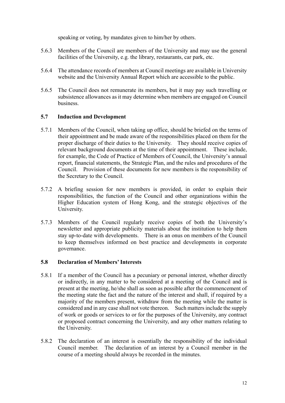speaking or voting, by mandates given to him/her by others.

- 5.6.3 Members of the Council are members of the University and may use the general facilities of the University, e.g. the library, restaurants, car park, etc.
- 5.6.4 The attendance records of members at Council meetings are available in University website and the University Annual Report which are accessible to the public.
- 5.6.5 The Council does not remunerate its members, but it may pay such travelling or subsistence allowances as it may determine when members are engaged on Council business.

## **5.7 Induction and Development**

- 5.7.1 Members of the Council, when taking up office, should be briefed on the terms of their appointment and be made aware of the responsibilities placed on them for the proper discharge of their duties to the University. They should receive copies of relevant background documents at the time of their appointment. These include, for example, the Code of Practice of Members of Council, the University's annual report, financial statements, the Strategic Plan, and the rules and procedures of the Council. Provision of these documents for new members is the responsibility of the Secretary to the Council.
- 5.7.2 A briefing session for new members is provided, in order to explain their responsibilities, the function of the Council and other organizations within the Higher Education system of Hong Kong, and the strategic objectives of the University.
- 5.7.3 Members of the Council regularly receive copies of both the University's newsletter and appropriate publicity materials about the institution to help them stay up-to-date with developments. There is an onus on members of the Council to keep themselves informed on best practice and developments in corporate governance.

#### **5.8 Declaration of Members' Interests**

- 5.8.1 If a member of the Council has a pecuniary or personal interest, whether directly or indirectly, in any matter to be considered at a meeting of the Council and is present at the meeting, he/she shall as soon as possible after the commencement of the meeting state the fact and the nature of the interest and shall, if required by a majority of the members present, withdraw from the meeting while the matter is considered and in any case shall not vote thereon. Such matters include the supply of work or goods or services to or for the purposes of the University, any contract or proposed contract concerning the University, and any other matters relating to the University.
- 5.8.2 The declaration of an interest is essentially the responsibility of the individual Council member. The declaration of an interest by a Council member in the course of a meeting should always be recorded in the minutes.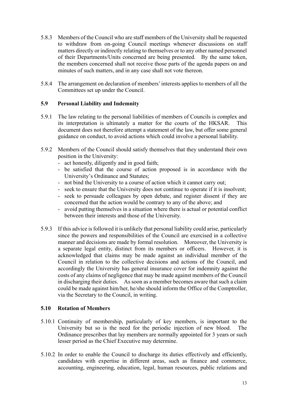- 5.8.3 Members of the Council who are staff members of the University shall be requested to withdraw from on-going Council meetings whenever discussions on staff matters directly or indirectly relating to themselves or to any other named personnel of their Departments/Units concerned are being presented. By the same token, the members concerned shall not receive those parts of the agenda papers on and minutes of such matters, and in any case shall not vote thereon.
- 5.8.4 The arrangement on declaration of members' interests applies to members of all the Committees set up under the Council.

## **5.9 Personal Liability and Indemnity**

- 5.9.1 The law relating to the personal liabilities of members of Councils is complex and its interpretation is ultimately a matter for the courts of the HKSAR. This document does not therefore attempt a statement of the law, but offer some general guidance on conduct, to avoid actions which could involve a personal liability.
- 5.9.2 Members of the Council should satisfy themselves that they understand their own position in the University:
	- act honestly, diligently and in good faith;
	- be satisfied that the course of action proposed is in accordance with the University's Ordinance and Statutes;
	- not bind the University to a course of action which it cannot carry out;
	- seek to ensure that the University does not continue to operate if it is insolvent;
	- seek to persuade colleagues by open debate, and register dissent if they are concerned that the action would be contrary to any of the above; and
	- avoid putting themselves in a situation where there is actual or potential conflict between their interests and those of the University.
- 5.9.3 If this advice is followed it is unlikely that personal liability could arise, particularly since the powers and responsibilities of the Council are exercised in a collective manner and decisions are made by formal resolution. Moreover, the University is a separate legal entity, distinct from its members or officers. However, it is acknowledged that claims may be made against an individual member of the Council in relation to the collective decisions and actions of the Council, and accordingly the University has general insurance cover for indemnity against the costs of any claims of negligence that may be made against members of the Council in discharging their duties. As soon as a member becomes aware that such a claim could be made against him/her, he/she should inform the Office of the Comptroller, via the Secretary to the Council, in writing.

# **5.10 Rotation of Members**

- 5.10.1 Continuity of membership, particularly of key members, is important to the University but so is the need for the periodic injection of new blood. The Ordinance prescribes that lay members are normally appointed for 3 years or such lesser period as the Chief Executive may determine.
- 5.10.2 In order to enable the Council to discharge its duties effectively and efficiently, candidates with expertise in different areas, such as finance and commerce, accounting, engineering, education, legal, human resources, public relations and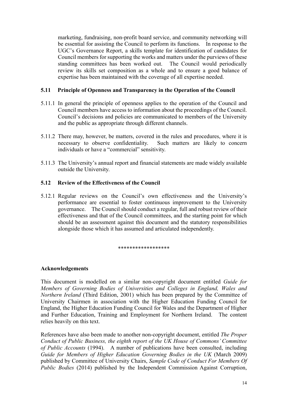marketing, fundraising, non-profit board service, and community networking will be essential for assisting the Council to perform its functions. In response to the UGC's Governance Report, a skills template for identification of candidates for Council members for supporting the works and matters under the purviews of these standing committees has been worked out. The Council would periodically review its skills set composition as a whole and to ensure a good balance of expertise has been maintained with the coverage of all expertise needed.

## **5.11 Principle of Openness and Transparency in the Operation of the Council**

- 5.11.1 In general the principle of openness applies to the operation of the Council and Council members have access to information about the proceedings of the Council. Council's decisions and policies are communicated to members of the University and the public as appropriate through different channels.
- 5.11.2 There may, however, be matters, covered in the rules and procedures, where it is necessary to observe confidentiality. Such matters are likely to concern individuals or have a "commercial" sensitivity.
- 5.11.3 The University's annual report and financial statements are made widely available outside the University.

## **5.12 Review of the Effectiveness of the Council**

5.12.1 Regular reviews on the Council's own effectiveness and the University's performance are essential to foster continuous improvement to the University governance. The Council should conduct a regular, full and robust review of their effectiveness and that of the Council committees, and the starting point for which should be an assessment against this document and the statutory responsibilities alongside those which it has assumed and articulated independently.

#### \*\*\*\*\*\*\*\*\*\*\*\*\*\*\*\*\*\*

#### **Acknowledgements**

This document is modelled on a similar non-copyright document entitled *Guide for Members of Governing Bodies of Universities and Colleges in England, Wales and Northern Ireland* (Third Edition, 2001) which has been prepared by the Committee of University Chairmen in association with the Higher Education Funding Council for England, the Higher Education Funding Council for Wales and the Department of Higher and Further Education, Training and Employment for Northern Ireland. The content relies heavily on this text.

References have also been made to another non-copyright document, entitled *The Proper Conduct of Public Business, the eighth report of the UK House of Commons' Committee of Public Accounts* (1994). A number of publications have been consulted, including *Guide for Members of Higher Education Governing Bodies in the UK* (March 2009) published by Committee of University Chairs, *Sample Code of Conduct For Members Of Public Bodies* (2014) published by the Independent Commission Against Corruption,